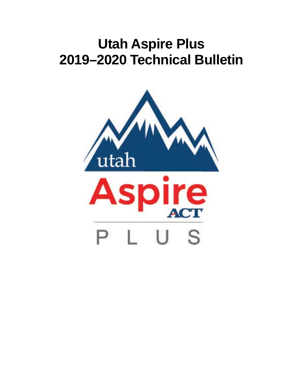# **Utah Aspire Plus 2019–2020 Technical Bulletin**

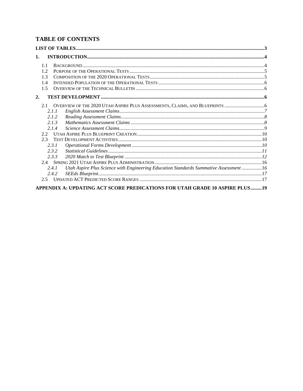# **TABLE OF CONTENTS**

| 1.            |                                                                                                |  |
|---------------|------------------------------------------------------------------------------------------------|--|
| 1.1           |                                                                                                |  |
| 1.2.          |                                                                                                |  |
| 1.3           |                                                                                                |  |
| 1.4           |                                                                                                |  |
| 1.5           |                                                                                                |  |
| 2.            |                                                                                                |  |
| 2.1           |                                                                                                |  |
|               | 2.1.1                                                                                          |  |
|               | 2.1.2                                                                                          |  |
|               | 2.1.3                                                                                          |  |
|               | 2.1.4                                                                                          |  |
| $2.2^{\circ}$ |                                                                                                |  |
| 2.3           |                                                                                                |  |
|               | 2.3.1                                                                                          |  |
|               | 2.3.2                                                                                          |  |
|               | 2.3.3                                                                                          |  |
|               |                                                                                                |  |
|               | Utah Aspire Plus Science with Engineering Education Standards Summative Assessment 16<br>2.4.1 |  |
|               | 2.4.2                                                                                          |  |
| 2.5           |                                                                                                |  |
|               | APPENDIX A: UPDATING ACT SCORE PREDICATIONS FOR UTAH GRADE 10 ASPIRE PLUS19                    |  |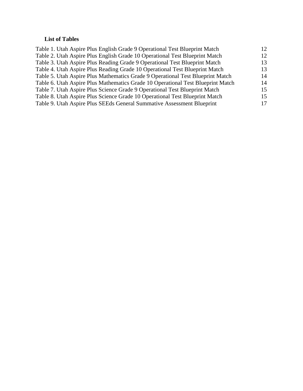# <span id="page-2-0"></span>**List of Tables**

| Table 1. Utah Aspire Plus English Grade 9 Operational Test Blueprint Match      | 12 |
|---------------------------------------------------------------------------------|----|
| Table 2. Utah Aspire Plus English Grade 10 Operational Test Blueprint Match     | 12 |
| Table 3. Utah Aspire Plus Reading Grade 9 Operational Test Blueprint Match      | 13 |
| Table 4. Utah Aspire Plus Reading Grade 10 Operational Test Blueprint Match     | 13 |
| Table 5. Utah Aspire Plus Mathematics Grade 9 Operational Test Blueprint Match  | 14 |
| Table 6. Utah Aspire Plus Mathematics Grade 10 Operational Test Blueprint Match | 14 |
| Table 7. Utah Aspire Plus Science Grade 9 Operational Test Blueprint Match      | 15 |
| Table 8. Utah Aspire Plus Science Grade 10 Operational Test Blueprint Match     | 15 |
| Table 9. Utah Aspire Plus SEEds General Summative Assessment Blueprint          | 17 |
|                                                                                 |    |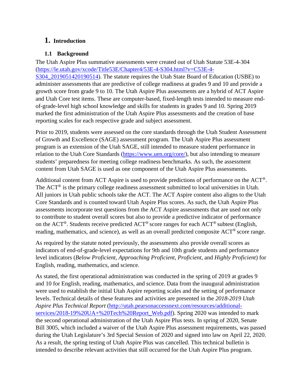# <span id="page-3-0"></span>**1. Introduction**

## <span id="page-3-1"></span>**1.1 Background**

The Utah Aspire Plus summative assessments were created out of Utah Statute 53E-4-304 [\(https://le.utah.gov/xcode/Title53E/Chapter4/53E-4-S304.html?v=C53E-4-](https://le.utah.gov/xcode/Title53E/Chapter4/53E-4-S304.html?v=C53E-4-S304_2019051420190514) S304 2019051420190514). The statute requires the Utah State Board of Education (USBE) to administer assessments that are predictive of college readiness at grades 9 and 10 and provide a growth score from grade 9 to 10. The Utah Aspire Plus assessments are a hybrid of ACT Aspire and Utah Core test items. These are computer-based, fixed-length tests intended to measure endof-grade-level high school knowledge and skills for students in grades 9 and 10. Spring 2019 marked the first administration of the Utah Aspire Plus assessments and the creation of base reporting scales for each respective grade and subject assessment.

Prior to 2019, students were assessed on the core standards through the Utah Student Assessment of Growth and Excellence (SAGE) assessment program. The Utah Aspire Plus assessment program is an extension of the Utah SAGE, still intended to measure student performance in relation to the Utah Core Standards [\(https://www.uen.org/core/\)](https://www.uen.org/core/), but also intending to measure students' preparedness for meeting college readiness benchmarks. As such, the assessment content from Utah SAGE is used as one component of the Utah Aspire Plus assessments.

Additional content from ACT Aspire is used to provide predictions of performance on the ACT®. The  $ACT^{\circledR}$  is the primary college readiness assessment submitted to local universities in Utah. All juniors in Utah public schools take the ACT. The ACT Aspire content also aligns to the Utah Core Standards and is counted toward Utah Aspire Plus scores. As such, the Utah Aspire Plus assessments incorporate test questions from the ACT Aspire assessments that are used not only to contribute to student overall scores but also to provide a predictive indicator of performance on the ACT®. Students receive predicted ACT® score ranges for each ACT® subtest (English, reading, mathematics, and science), as well as an overall predicted composite ACT® score range.

As required by the statute noted previously, the assessments also provide overall scores as indicators of end-of-grade-level expectations for 9th and 10th grade students and performance level indicators (*Below Proficient*, *Approaching Proficient*, *Proficient*, and *Highly Proficient*) for English, reading, mathematics, and science.

As stated, the first operational administration was conducted in the spring of 2019 at grades 9 and 10 for English, reading, mathematics, and science. Data from the inaugural administration were used to establish the initial Utah Aspire reporting scales and the setting of performance levels. Technical details of these features and activities are presented in the *2018-2019 Utah Aspire Plus Technical Report* [\(http://utah.pearsonaccessnext.com/resources/additional](http://utah.pearsonaccessnext.com/resources/additional-services/2018-19%20UA+%20Tech%20Report_Web.pdf)[services/2018-19%20UA+%20Tech%20Report\\_Web.pdf\)](http://utah.pearsonaccessnext.com/resources/additional-services/2018-19%20UA+%20Tech%20Report_Web.pdf). Spring 2020 was intended to mark the second operational administration of the Utah Aspire Plus tests. In spring of 2020, Senate Bill 3005, which included a waiver of the Utah Aspire Plus assessment requirements, was passed during the Utah Legislature's 3rd Special Session of 2020 and signed into law on April 22, 2020. As a result, the spring testing of Utah Aspire Plus was cancelled. This technical bulletin is intended to describe relevant activities that still occurred for the Utah Aspire Plus program.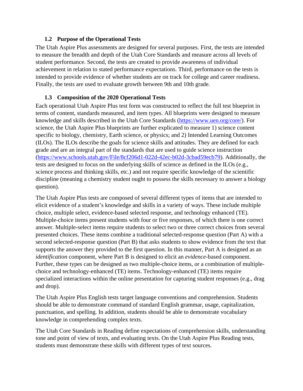#### **1.2 Purpose of the Operational Tests**

<span id="page-4-0"></span>The Utah Aspire Plus assessments are designed for several purposes. First, the tests are intended to measure the breadth and depth of the Utah Core Standards and measure across all levels of student performance. Second, the tests are created to provide awareness of individual achievement in relation to stated performance expectations. Third, performance on the tests is intended to provide evidence of whether students are on track for college and career readiness. Finally, the tests are used to evaluate growth between 9th and 10th grade.

#### <span id="page-4-1"></span>**1.3 Composition of the 2020 Operational Tests**

Each operational Utah Aspire Plus test form was constructed to reflect the full test blueprint in terms of content, standards measured, and item types. All blueprints were designed to measure knowledge and skills described in the Utah Core Standards [\(https://www.uen.org/core/\)](https://www.uen.org/core/). For science, the Utah Aspire Plus blueprints are further explicated to measure 1) science content specific to biology, chemistry, Earth science, or physics; and 2) Intended Learning Outcomes (ILOs). The ILOs describe the goals for science skills and attitudes. They are defined for each grade and are an integral part of the standards that are used to guide science instruction [\(https://www.schools.utah.gov/File/8cf206d1-022d-42ec-b02d-3cbad59ecb79\)](https://www.schools.utah.gov/curr/Science). Additionally, the tests are designed to focus on the underlying skills of science as defined in the ILOs (e.g., science process and thinking skills, etc.) and not require specific knowledge of the scientific discipline (meaning a chemistry student ought to possess the skills necessary to answer a biology question).

The Utah Aspire Plus tests are composed of several different types of items that are intended to elicit evidence of a student's knowledge and skills in a variety of ways. These include multiple choice, multiple select, evidence-based selected response, and technology enhanced (TE). Multiple-choice items present students with four or five responses, of which there is one correct answer. Multiple-select items require students to select two or three correct choices from several presented choices. These items combine a traditional selected-response question (Part A) with a second selected-response question (Part B) that asks students to show evidence from the text that supports the answer they provided to the first question. In this manner, Part A is designed as an *identification* component, where Part B is designed to elicit an *evidence*-based component. Further, these types can be designed as two multiple-choice items, or a combination of multiplechoice and technology-enhanced (TE) items. Technology-enhanced (TE) items require specialized interactions within the online presentation for capturing student responses (e.g., drag and drop).

The Utah Aspire Plus English tests target language conventions and comprehension. Students should be able to demonstrate command of standard English grammar, usage, capitalization, punctuation, and spelling. In addition, students should be able to demonstrate vocabulary knowledge in comprehending complex texts.

The Utah Core Standards in Reading define expectations of comprehension skills, understanding tone and point of view of texts, and evaluating texts. On the Utah Aspire Plus Reading tests, students must demonstrate these skills with different types of text sources.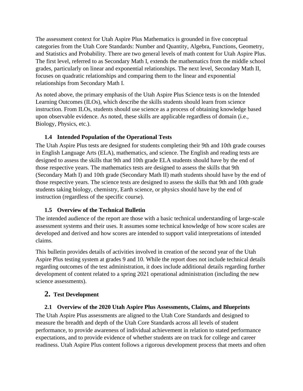The assessment context for Utah Aspire Plus Mathematics is grounded in five conceptual categories from the Utah Core Standards: Number and Quantity, Algebra, Functions, Geometry, and Statistics and Probability. There are two general levels of math content for Utah Aspire Plus. The first level, referred to as Secondary Math I, extends the mathematics from the middle school grades, particularly on linear and exponential relationships. The next level, Secondary Math II, focuses on quadratic relationships and comparing them to the linear and exponential relationships from Secondary Math I.

As noted above, the primary emphasis of the Utah Aspire Plus Science tests is on the Intended Learning Outcomes (ILOs), which describe the skills students should learn from science instruction. From ILOs, students should use science as a process of obtaining knowledge based upon observable evidence. As noted, these skills are applicable regardless of domain (i.e., Biology, Physics, etc.).

# <span id="page-5-0"></span>**1.4 Intended Population of the Operational Tests**

The Utah Aspire Plus tests are designed for students completing their 9th and 10th grade courses in English Language Arts (ELA), mathematics, and science. The English and reading tests are designed to assess the skills that 9th and 10th grade ELA students should have by the end of those respective years. The mathematics tests are designed to assess the skills that 9th (Secondary Math I) and 10th grade (Secondary Math II) math students should have by the end of those respective years. The science tests are designed to assess the skills that 9th and 10th grade students taking biology, chemistry, Earth science, or physics should have by the end of instruction (regardless of the specific course).

# <span id="page-5-1"></span>**1.5 Overview of the Technical Bulletin**

The intended audience of the report are those with a basic technical understanding of large-scale assessment systems and their uses. It assumes some technical knowledge of how score scales are developed and derived and how scores are intended to support valid interpretations of intended claims.

This bulletin provides details of activities involved in creation of the second year of the Utah Aspire Plus testing system at grades 9 and 10. While the report does not include technical details regarding outcomes of the test administration, it does include additional details regarding further development of content related to a spring 2021 operational administration (including the new science assessments).

# <span id="page-5-2"></span>**2. Test Development**

# <span id="page-5-3"></span>**2.1 Overview of the 2020 Utah Aspire Plus Assessments, Claims, and Blueprints**

The Utah Aspire Plus assessments are aligned to the Utah Core Standards and designed to measure the breadth and depth of the Utah Core Standards across all levels of student performance, to provide awareness of individual achievement in relation to stated performance expectations, and to provide evidence of whether students are on track for college and career readiness. Utah Aspire Plus content follows a rigorous development process that meets and often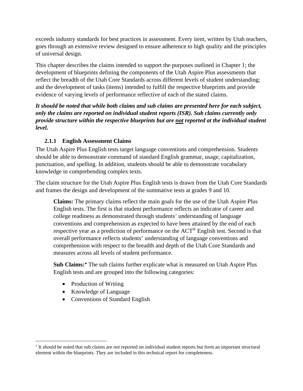exceeds industry standards for best practices in assessment. Every item, written by Utah teachers, goes through an extensive review designed to ensure adherence to high quality and the principles of universal design.

This chapter describes the claims intended to support the purposes outlined in Chapter 1; the development of blueprints defining the components of the Utah Aspire Plus assessments that reflect the breadth of the Utah Core Standards across different levels of student understanding; and the development of tasks (items) intended to fulfill the respective blueprints and provide evidence of varying levels of performance reflective of each of the stated claims.

*It should be noted that while both claims and sub claims are presented here for each subject, only the claims are reported on individual student reports (ISR). Sub claims currently only provide structure within the respective blueprints but are not reported at the individual student level.* 

# <span id="page-6-0"></span>**2.1.1 English Assessment Claims**

The Utah Aspire Plus English tests target language conventions and comprehension. Students should be able to demonstrate command of standard English grammar, usage, capitalization, punctuation, and spelling. In addition, students should be able to demonstrate vocabulary knowledge in comprehending complex texts.

The claim structure for the Utah Aspire Plus English tests is drawn from the Utah Core Standards and frames the design and development of the summative tests at grades 9 and 10.

**Claims:** The primary claims reflect the main goals for the use of the Utah Aspire Plus English tests. The first is that student performance reflects an indicator of career and college readiness as demonstrated through students' understanding of language conventions and comprehension as expected to have been attained by the end of each respective year as a prediction of performance on the ACT® English test. Second is that overall performance reflects students' understanding of language conventions and comprehension with respect to the breadth and depth of the Utah Core Standards and measures across all levels of student performance.

**Sub Claims:**[∗](#page-6-1) The sub claims further explicate what is measured on Utah Aspire Plus English tests and are grouped into the following categories:

- Production of Writing
- Knowledge of Language
- Conventions of Standard English

<span id="page-6-1"></span><sup>∗</sup> It should be noted that sub claims are *not* reported on individual student reports but form an important structural element within the blueprints. They are included in this technical report for completeness.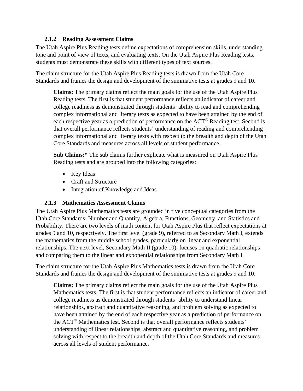#### **2.1.2 Reading Assessment Claims**

<span id="page-7-0"></span>The Utah Aspire Plus Reading tests define expectations of comprehension skills, understanding tone and point of view of texts, and evaluating texts. On the Utah Aspire Plus Reading tests, students must demonstrate these skills with different types of text sources.

The claim structure for the Utah Aspire Plus Reading tests is drawn from the Utah Core Standards and frames the design and development of the summative tests at grades 9 and 10.

**Claims:** The primary claims reflect the main goals for the use of the Utah Aspire Plus Reading tests. The first is that student performance reflects an indicator of career and college readiness as demonstrated through students' ability to read and comprehending complex informational and literary texts as expected to have been attained by the end of each respective year as a prediction of performance on the ACT® Reading test. Second is that overall performance reflects students' understanding of reading and comprehending complex informational and literary texts with respect to the breadth and depth of the Utah Core Standards and measures across all levels of student performance.

**Sub Claims:\*** The sub claims further explicate what is measured on Utah Aspire Plus Reading tests and are grouped into the following categories:

- Key Ideas
- Craft and Structure
- Integration of Knowledge and Ideas

#### <span id="page-7-1"></span>**2.1.3 Mathematics Assessment Claims**

The Utah Aspire Plus Mathematics tests are grounded in five conceptual categories from the Utah Core Standards: Number and Quantity, Algebra, Functions, Geometry, and Statistics and Probability. There are two levels of math content for Utah Aspire Plus that reflect expectations at grades 9 and 10, respectively. The first level (grade 9), referred to as Secondary Math I, extends the mathematics from the middle school grades, particularly on linear and exponential relationships. The next level, Secondary Math II (grade 10), focuses on quadratic relationships and comparing them to the linear and exponential relationships from Secondary Math I.

The claim structure for the Utah Aspire Plus Mathematics tests is drawn from the Utah Core Standards and frames the design and development of the summative tests at grades 9 and 10.

**Claims:** The primary claims reflect the main goals for the use of the Utah Aspire Plus Mathematics tests. The first is that student performance reflects an indicator of career and college readiness as demonstrated through students' ability to understand linear relationships, abstract and quantitative reasoning, and problem solving as expected to have been attained by the end of each respective year as a prediction of performance on the ACT® Mathematics test. Second is that overall performance reflects students' understanding of linear relationships, abstract and quantitative reasoning, and problem solving with respect to the breadth and depth of the Utah Core Standards and measures across all levels of student performance.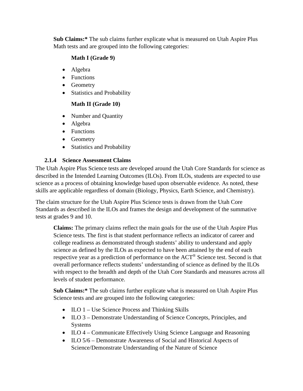**Sub Claims:\*** The sub claims further explicate what is measured on Utah Aspire Plus Math tests and are grouped into the following categories:

# **Math I (Grade 9)**

- Algebra
- Functions
- Geometry
- Statistics and Probability

# **Math II (Grade 10)**

- Number and Quantity
- Algebra
- Functions
- Geometry
- Statistics and Probability

# <span id="page-8-0"></span>**2.1.4 Science Assessment Claims**

The Utah Aspire Plus Science tests are developed around the Utah Core Standards for science as described in the Intended Learning Outcomes (ILOs). From ILOs, students are expected to use science as a process of obtaining knowledge based upon observable evidence. As noted, these skills are applicable regardless of domain (Biology, Physics, Earth Science, and Chemistry).

The claim structure for the Utah Aspire Plus Science tests is drawn from the Utah Core Standards as described in the ILOs and frames the design and development of the summative tests at grades 9 and 10.

**Claims:** The primary claims reflect the main goals for the use of the Utah Aspire Plus Science tests. The first is that student performance reflects an indicator of career and college readiness as demonstrated through students' ability to understand and apply science as defined by the ILOs as expected to have been attained by the end of each respective year as a prediction of performance on the ACT<sup>®</sup> Science test. Second is that overall performance reflects students' understanding of science as defined by the ILOs with respect to the breadth and depth of the Utah Core Standards and measures across all levels of student performance.

**Sub Claims:\*** The sub claims further explicate what is measured on Utah Aspire Plus Science tests and are grouped into the following categories:

- ILO 1 Use Science Process and Thinking Skills
- ILO 3 Demonstrate Understanding of Science Concepts, Principles, and Systems
- ILO 4 Communicate Effectively Using Science Language and Reasoning
- ILO 5/6 Demonstrate Awareness of Social and Historical Aspects of Science/Demonstrate Understanding of the Nature of Science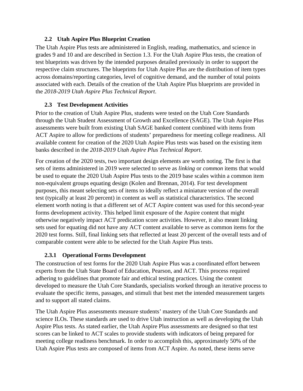# **2.2 Utah Aspire Plus Blueprint Creation**

<span id="page-9-0"></span>The Utah Aspire Plus tests are administered in English, reading, mathematics, and science in grades 9 and 10 and are described in Section 1.3. For the Utah Aspire Plus tests, the creation of test blueprints was driven by the intended purposes detailed previously in order to support the respective claim structures. The blueprints for Utah Aspire Plus are the distribution of item types across domains/reporting categories, level of cognitive demand, and the number of total points associated with each. Details of the creation of the Utah Aspire Plus blueprints are provided in the *2018-2019 Utah Aspire Plus Technical Report*.

# <span id="page-9-1"></span>**2.3 Test Development Activities**

Prior to the creation of Utah Aspire Plus, students were tested on the Utah Core Standards through the Utah Student Assessment of Growth and Excellence (SAGE). The Utah Aspire Plus assessments were built from existing Utah SAGE banked content combined with items from ACT Aspire to allow for predictions of students' preparedness for meeting college readiness. All available content for creation of the 2020 Utah Aspire Plus tests was based on the existing item banks described in the *2018-2019 Utah Aspire Plus Technical Report*.

For creation of the 2020 tests, two important design elements are worth noting. The first is that sets of items administered in 2019 were selected to serve as *linking* or *common* items that would be used to equate the 2020 Utah Aspire Plus tests to the 2019 base scales within a common item non-equivalent groups equating design (Kolen and Brennan, 2014). For test development purposes, this meant selecting sets of items to ideally reflect a miniature version of the overall test (typically at least 20 percent) in content as well as statistical characteristics. The second element worth noting is that a different set of ACT Aspire content was used for this second-year forms development activity. This helped limit exposure of the Aspire content that might otherwise negatively impact ACT predication score activities. However, it also meant linking sets used for equating did not have any ACT content available to serve as common items for the 2020 test forms. Still, final linking sets that reflected at least 20 percent of the overall tests and of comparable content were able to be selected for the Utah Aspire Plus tests.

# **2.3.1 Operational Forms Development**

<span id="page-9-2"></span>The construction of test forms for the 2020 Utah Aspire Plus was a coordinated effort between experts from the Utah State Board of Education, Pearson, and ACT. This process required adhering to guidelines that promote fair and ethical testing practices. Using the content developed to measure the Utah Core Standards, specialists worked through an iterative process to evaluate the specific items, passages, and stimuli that best met the intended measurement targets and to support all stated claims.

The Utah Aspire Plus assessments measure students' mastery of the Utah Core Standards and science ILOs. These standards are used to drive Utah instruction as well as developing the Utah Aspire Plus tests. As stated earlier, the Utah Aspire Plus assessments are designed so that test scores can be linked to ACT scales to provide students with indicators of being prepared for meeting college readiness benchmark. In order to accomplish this, approximately 50% of the Utah Aspire Plus tests are composed of items from ACT Aspire. As noted, these items serve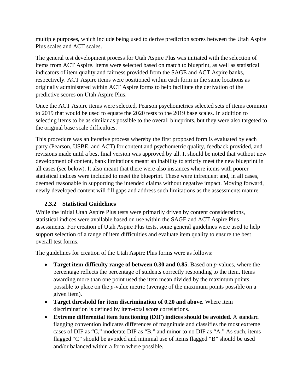multiple purposes, which include being used to derive prediction scores between the Utah Aspire Plus scales and ACT scales.

The general test development process for Utah Aspire Plus was initiated with the selection of items from ACT Aspire. Items were selected based on match to blueprint, as well as statistical indicators of item quality and fairness provided from the SAGE and ACT Aspire banks, respectively. ACT Aspire items were positioned within each form in the same locations as originally administered within ACT Aspire forms to help facilitate the derivation of the predictive scores on Utah Aspire Plus.

Once the ACT Aspire items were selected, Pearson psychometrics selected sets of items common to 2019 that would be used to equate the 2020 tests to the 2019 base scales. In addition to selecting items to be as similar as possible to the overall blueprints, but they were also targeted to the original base scale difficulties.

This procedure was an iterative process whereby the first proposed form is evaluated by each party (Pearson, USBE, and ACT) for content and psychometric quality, feedback provided, and revisions made until a best final version was approved by all. It should be noted that without new development of content, bank limitations meant an inability to strictly meet the new blueprint in all cases (see below). It also meant that there were also instances where items with poorer statistical indices were included to meet the blueprint. These were infrequent and, in all cases, deemed reasonable in supporting the intended claims without negative impact. Moving forward, newly developed content will fill gaps and address such limitations as the assessments mature.

# **2.3.2 Statistical Guidelines**

<span id="page-10-0"></span>While the initial Utah Aspire Plus tests were primarily driven by content considerations, statistical indices were available based on use within the SAGE and ACT Aspire Plus assessments. For creation of Utah Aspire Plus tests, some general guidelines were used to help support selection of a range of item difficulties and evaluate item quality to ensure the best overall test forms.

The guidelines for creation of the Utah Aspire Plus forms were as follows:

- **Target item difficulty range of between 0.30 and 0.85.** Based on *p*-values, where the percentage reflects the percentage of students correctly responding to the item. Items awarding more than one point used the item mean divided by the maximum points possible to place on the *p*-value metric (average of the maximum points possible on a given item).
- **Target threshold for item discrimination of 0.20 and above.** Where item discrimination is defined by item-total score correlations.
- **Extreme differential item functioning (DIF) indices should be avoided**. A standard flagging convention indicates differences of magnitude and classifies the most extreme cases of DIF as "C," moderate DIF as "B," and minor to no DIF as "A." As such, items flagged "C" should be avoided and minimal use of items flagged "B" should be used and/or balanced within a form where possible.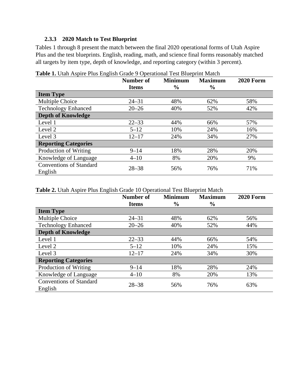#### **2.3.3 2020 Match to Test Blueprint**

<span id="page-11-0"></span>[Tables 1](#page-11-1) through 8 present the match between the final 2020 operational forms of Utah Aspire Plus and the test blueprints. English, reading, math, and science final forms reasonably matched all targets by item type, depth of knowledge, and reporting category (within 3 percent).

|                                           | Number of    | <b>Minimum</b> | <b>Maximum</b> | <b>2020 Form</b> |
|-------------------------------------------|--------------|----------------|----------------|------------------|
|                                           | <b>Items</b> | $\frac{6}{9}$  | $\frac{0}{0}$  |                  |
| <b>Item Type</b>                          |              |                |                |                  |
| Multiple Choice                           | $24 - 31$    | 48%            | 62%            | 58%              |
| <b>Technology Enhanced</b>                | $20 - 26$    | 40%            | 52%            | 42%              |
| <b>Depth of Knowledge</b>                 |              |                |                |                  |
| Level 1                                   | $22 - 33$    | 44%            | 66%            | 57%              |
| Level 2                                   | $5 - 12$     | 10%            | 24%            | 16%              |
| Level 3                                   | $12 - 17$    | 24%            | 34%            | 27%              |
| <b>Reporting Categories</b>               |              |                |                |                  |
| Production of Writing                     | $9 - 14$     | 18%            | 28%            | 20%              |
| Knowledge of Language                     | $4 - 10$     | 8%             | 20%            | 9%               |
| <b>Conventions of Standard</b><br>English | $28 - 38$    | 56%            | 76%            | 71%              |

<span id="page-11-1"></span>**Table 1.** Utah Aspire Plus English Grade 9 Operational Test Blueprint Match

<span id="page-11-2"></span>**Table 2.** Utah Aspire Plus English Grade 10 Operational Test Blueprint Match

|                                           | <b>Number of</b><br><b>Items</b> | <b>Minimum</b><br>$\frac{6}{9}$ | <b>Maximum</b><br>$\frac{0}{0}$ | <b>2020 Form</b> |
|-------------------------------------------|----------------------------------|---------------------------------|---------------------------------|------------------|
| <b>Item Type</b>                          |                                  |                                 |                                 |                  |
| Multiple Choice                           | $24 - 31$                        | 48%                             | 62%                             | 56%              |
| <b>Technology Enhanced</b>                | $20 - 26$                        | 40%                             | 52%                             | 44%              |
| <b>Depth of Knowledge</b>                 |                                  |                                 |                                 |                  |
| Level 1                                   | $22 - 33$                        | 44%                             | 66%                             | 54%              |
| Level 2                                   | $5 - 12$                         | 10%                             | 24%                             | 15%              |
| Level 3                                   | $12 - 17$                        | 24%                             | 34%                             | 30%              |
| <b>Reporting Categories</b>               |                                  |                                 |                                 |                  |
| Production of Writing                     | $9 - 14$                         | 18%                             | 28%                             | 24%              |
| Knowledge of Language                     | $4 - 10$                         | 8%                              | 20%                             | 13%              |
| <b>Conventions of Standard</b><br>English | $28 - 38$                        | 56%                             | 76%                             | 63%              |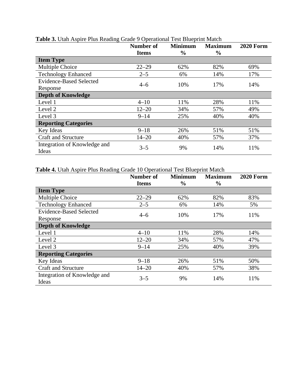|                                       | <b>Number of</b><br><b>Items</b> | <b>Minimum</b><br>$\frac{6}{9}$ | <b>Maximum</b><br>$\frac{6}{9}$ | <b>2020 Form</b> |
|---------------------------------------|----------------------------------|---------------------------------|---------------------------------|------------------|
| <b>Item Type</b>                      |                                  |                                 |                                 |                  |
| Multiple Choice                       | $22 - 29$                        | 62%                             | 82%                             | 69%              |
| <b>Technology Enhanced</b>            | $2 - 5$                          | 6%                              | 14%                             | 17%              |
| <b>Evidence-Based Selected</b>        | $4 - 6$                          | 10%                             | 17%                             |                  |
| Response                              |                                  |                                 |                                 | 14%              |
| <b>Depth of Knowledge</b>             |                                  |                                 |                                 |                  |
| Level 1                               | $4 - 10$                         | 11%                             | 28%                             | 11%              |
| Level 2                               | $12 - 20$                        | 34%                             | 57%                             | 49%              |
| Level 3                               | $9 - 14$                         | 25%                             | 40%                             | 40%              |
| <b>Reporting Categories</b>           |                                  |                                 |                                 |                  |
| Key Ideas                             | $9 - 18$                         | 26%                             | 51%                             | 51%              |
| <b>Craft and Structure</b>            | $14 - 20$                        | 40%                             | 57%                             | 37%              |
| Integration of Knowledge and<br>Ideas | $3 - 5$                          | 9%                              | 14%                             | 11%              |

#### <span id="page-12-0"></span>**Table 3.** Utah Aspire Plus Reading Grade 9 Operational Test Blueprint Match

# <span id="page-12-1"></span>**Table 4.** Utah Aspire Plus Reading Grade 10 Operational Test Blueprint Match

|                                       | Number of    | <b>Minimum</b> | <b>Maximum</b> | <b>2020 Form</b> |
|---------------------------------------|--------------|----------------|----------------|------------------|
|                                       | <b>Items</b> | $\frac{6}{9}$  | $\frac{0}{0}$  |                  |
| <b>Item Type</b>                      |              |                |                |                  |
| Multiple Choice                       | $22 - 29$    | 62%            | 82%            | 83%              |
| <b>Technology Enhanced</b>            | $2 - 5$      | 6%             | 14%            | 5%               |
| <b>Evidence-Based Selected</b>        | $4 - 6$      | 10%            | 17%            | 11%              |
| Response                              |              |                |                |                  |
| <b>Depth of Knowledge</b>             |              |                |                |                  |
| Level 1                               | $4 - 10$     | 11%            | 28%            | 14%              |
| Level 2                               | $12 - 20$    | 34%            | 57%            | 47%              |
| Level 3                               | $9 - 14$     | 25%            | 40%            | 39%              |
| <b>Reporting Categories</b>           |              |                |                |                  |
| Key Ideas                             | $9 - 18$     | 26%            | 51%            | 50%              |
| <b>Craft and Structure</b>            | $14 - 20$    | 40%            | 57%            | 38%              |
| Integration of Knowledge and<br>Ideas | $3 - 5$      | 9%             | 14%            | 11%              |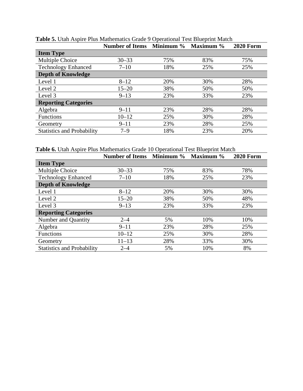|                                   | <b>Number of Items</b> Minimum % |     | Maximum % | <b>2020 Form</b> |
|-----------------------------------|----------------------------------|-----|-----------|------------------|
| <b>Item Type</b>                  |                                  |     |           |                  |
| Multiple Choice                   | $30 - 33$                        | 75% | 83%       | 75%              |
| <b>Technology Enhanced</b>        | $7 - 10$                         | 18% | 25%       | 25%              |
| <b>Depth of Knowledge</b>         |                                  |     |           |                  |
| Level 1                           | $8 - 12$                         | 20% | 30%       | 28%              |
| Level 2                           | $15 - 20$                        | 38% | 50%       | 50%              |
| Level 3                           | $9 - 13$                         | 23% | 33%       | 23%              |
| <b>Reporting Categories</b>       |                                  |     |           |                  |
| Algebra                           | $9 - 11$                         | 23% | 28%       | 28%              |
| <b>Functions</b>                  | $10 - 12$                        | 25% | 30%       | 28%              |
| Geometry                          | $9 - 11$                         | 23% | 28%       | 25%              |
| <b>Statistics and Probability</b> | $7 - 9$                          | 18% | 23%       | 20%              |

<span id="page-13-0"></span>**Table 5.** Utah Aspire Plus Mathematics Grade 9 Operational Test Blueprint Match

<span id="page-13-1"></span>**Table 6.** Utah Aspire Plus Mathematics Grade 10 Operational Test Blueprint Match

|                                   | <b>Number of Items</b> Minimum % |     | Maximum % | <b>2020 Form</b> |
|-----------------------------------|----------------------------------|-----|-----------|------------------|
| <b>Item Type</b>                  |                                  |     |           |                  |
| Multiple Choice                   | $30 - 33$                        | 75% | 83%       | 78%              |
| <b>Technology Enhanced</b>        | $7 - 10$                         | 18% | 25%       | 23%              |
| <b>Depth of Knowledge</b>         |                                  |     |           |                  |
| Level 1                           | $8 - 12$                         | 20% | 30%       | 30%              |
| Level 2                           | $15 - 20$                        | 38% | 50%       | 48%              |
| Level 3                           | $9 - 13$                         | 23% | 33%       | 23%              |
| <b>Reporting Categories</b>       |                                  |     |           |                  |
| Number and Quantity               | $2 - 4$                          | 5%  | 10%       | 10%              |
| Algebra                           | $9 - 11$                         | 23% | 28%       | 25%              |
| <b>Functions</b>                  | $10 - 12$                        | 25% | 30%       | 28%              |
| Geometry                          | $11 - 13$                        | 28% | 33%       | 30%              |
| <b>Statistics and Probability</b> | $2 - 4$                          | 5%  | 10%       | 8%               |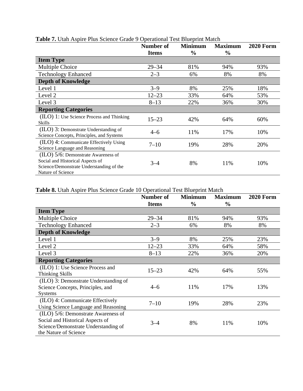|                                           | Number of    | <b>Minimum</b> | <b>Maximum</b> | <b>2020 Form</b> |
|-------------------------------------------|--------------|----------------|----------------|------------------|
|                                           | <b>Items</b> | $\frac{0}{0}$  | $\frac{6}{9}$  |                  |
| <b>Item Type</b>                          |              |                |                |                  |
| Multiple Choice                           | $29 - 34$    | 81%            | 94%            | 93%              |
| <b>Technology Enhanced</b>                | $2 - 3$      | 6%             | 8%             | 8%               |
| <b>Depth of Knowledge</b>                 |              |                |                |                  |
| Level 1                                   | $3 - 9$      | 8%             | 25%            | 18%              |
| Level 2                                   | $12 - 23$    | 33%            | 64%            | 53%              |
| Level 3                                   | $8 - 13$     | 22%            | 36%            | 30%              |
| <b>Reporting Categories</b>               |              |                |                |                  |
| (ILO) 1: Use Science Process and Thinking | $15 - 23$    | 42%            | 64%            | 60%              |
| Skills                                    |              |                |                |                  |
| $(IIO)$ 3: Demonstrate Understanding of   | $4 - 6$      | 11%            | 17%            | 10%              |
| Science Concepts, Principles, and Systems |              |                |                |                  |
| (ILO) 4: Communicate Effectively Using    | $7 - 10$     | 19%            | 28%            | 20%              |
| Science Language and Reasoning            |              |                |                |                  |
| (ILO) 5/6: Demonstrate Awareness of       |              |                |                |                  |
| Social and Historical Aspects of          | $3 - 4$      | 8%             | 11%            | 10%              |
| Science/Demonstrate Understanding of the  |              |                |                |                  |
| Nature of Science                         |              |                |                |                  |

#### <span id="page-14-0"></span>**Table 7.** Utah Aspire Plus Science Grade 9 Operational Test Blueprint Match

<span id="page-14-1"></span>**Table 8.** Utah Aspire Plus Science Grade 10 Operational Test Blueprint Match

|                                       | <b>Number of</b> | <b>Minimum</b> | <b>Maximum</b> | <b>2020 Form</b> |
|---------------------------------------|------------------|----------------|----------------|------------------|
|                                       | <b>Items</b>     | $\%$           | $\frac{6}{9}$  |                  |
| <b>Item Type</b>                      |                  |                |                |                  |
| Multiple Choice                       | $29 - 34$        | 81%            | 94%            | 93%              |
| <b>Technology Enhanced</b>            | $2 - 3$          | 6%             | 8%             | 8%               |
| <b>Depth of Knowledge</b>             |                  |                |                |                  |
| Level 1                               | $3 - 9$          | 8%             | 25%            | 23%              |
| Level <sub>2</sub>                    | $12 - 23$        | 33%            | 64%            | 58%              |
| Level 3                               | $8 - 13$         | 22%            | 36%            | 20%              |
| <b>Reporting Categories</b>           |                  |                |                |                  |
| (ILO) 1: Use Science Process and      | $15 - 23$        | 42%            | 64%            | 55%              |
| <b>Thinking Skills</b>                |                  |                |                |                  |
| (ILO) 3: Demonstrate Understanding of |                  |                |                |                  |
| Science Concepts, Principles, and     | $4 - 6$          | 11%            | 17%            | 13%              |
| <b>Systems</b>                        |                  |                |                |                  |
| (ILO) 4: Communicate Effectively      | $7 - 10$         | 19%            | 28%            | 23%              |
| Using Science Language and Reasoning  |                  |                |                |                  |
| (ILO) 5/6: Demonstrate Awareness of   |                  |                |                |                  |
| Social and Historical Aspects of      | $3 - 4$          | 8%             | 11%            | 10%              |
| Science/Demonstrate Understanding of  |                  |                |                |                  |
| the Nature of Science                 |                  |                |                |                  |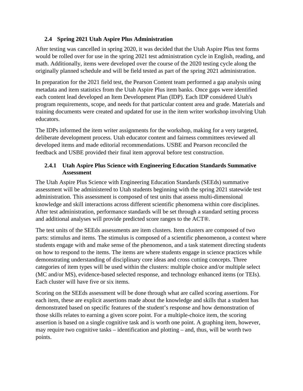# <span id="page-15-0"></span>**2.4 Spring 2021 Utah Aspire Plus Administration**

After testing was cancelled in spring 2020, it was decided that the Utah Aspire Plus test forms would be rolled over for use in the spring 2021 test administration cycle in English, reading, and math. Additionally, items were developed over the course of the 2020 testing cycle along the originally planned schedule and will be field tested as part of the spring 2021 administration.

In preparation for the 2021 field test, the Pearson Content team performed a gap analysis using metadata and item statistics from the Utah Aspire Plus item banks. Once gaps were identified each content lead developed an Item Development Plan (IDP). Each IDP considered Utah's program requirements, scope, and needs for that particular content area and grade. Materials and training documents were created and updated for use in the item writer workshop involving Utah educators.

The IDPs informed the item writer assignments for the workshop, making for a very targeted, deliberate development process. Utah educator content and fairness committees reviewed all developed items and made editorial recommendations. USBE and Pearson reconciled the feedback and USBE provided their final item approval before test construction.

## <span id="page-15-1"></span>**2.4.1 Utah Aspire Plus Science with Engineering Education Standards Summative Assessment**

The Utah Aspire Plus Science with Engineering Education Standards (SEEds) summative assessment will be administered to Utah students beginning with the spring 2021 statewide test administration. This assessment is composed of test units that assess multi-dimensional knowledge and skill interactions across different scientific phenomena within core disciplines. After test administration, performance standards will be set through a standard setting process and additional analyses will provide predicted score ranges to the ACT®.

The test units of the SEEds assessments are item clusters. Item clusters are composed of two parts: stimulus and items. The stimulus is composed of a scientific phenomenon, a context where students engage with and make sense of the phenomenon, and a task statement directing students on how to respond to the items. The items are where students engage in science practices while demonstrating understanding of disciplinary core ideas and cross cutting concepts. Three categories of item types will be used within the clusters: multiple choice and/or multiple select (MC and/or MS), evidence-based selected response, and technology enhanced items (or TEIs). Each cluster will have five or six items.

Scoring on the SEEds assessment will be done through what are called scoring assertions. For each item, these are explicit assertions made about the knowledge and skills that a student has demonstrated based on specific features of the student's response and how demonstration of those skills relates to earning a given score point. For a multiple-choice item, the scoring assertion is based on a single cognitive task and is worth one point. A graphing item, however, may require two cognitive tasks – identification and plotting – and, thus, will be worth two points.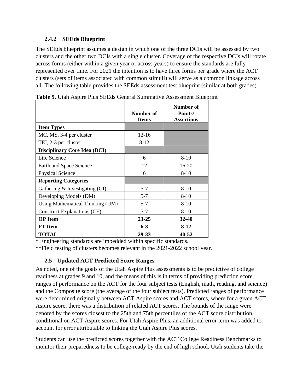#### <span id="page-16-0"></span>**2.4.2 SEEds Blueprint**

The SEEds blueprint assumes a design in which one of the three DCIs will be assessed by two clusters and the other two DCIs with a single cluster. Coverage of the respective DCIs will rotate across forms (either within a given year or across years) to ensure the standards are fully represented over time. For 2021 the intention is to have three forms per grade where the ACT clusters (sets of items associated with common stimuli) will serve as a common linkage across all. The following table provides the SEEds assessment test blueprint (similar at both grades).

|                                     | Number of<br><b>Items</b> | Number of<br>Points/<br><b>Assertions</b> |
|-------------------------------------|---------------------------|-------------------------------------------|
| <b>Item Types</b>                   |                           |                                           |
| MC, MS, 3-4 per cluster             | $12 - 16$                 |                                           |
| TEI, 2-3 per cluster                | $8 - 12$                  |                                           |
| <b>Disciplinary Core Idea (DCI)</b> |                           |                                           |
| Life Science                        | 6                         | $8-10$                                    |
| Earth and Space Science             | 12                        | 16-20                                     |
| <b>Physical Science</b>             | 6                         | $8 - 10$                                  |
| <b>Reporting Categories</b>         |                           |                                           |
| Gathering $&$ Investigating (GI)    | $5 - 7$                   | $8 - 10$                                  |
| Developing Models (DM)              | $5 - 7$                   | $8-10$                                    |
| Using Mathematical Thinking (UM)    | $5 - 7$                   | $8-10$                                    |
| <b>Construct Explanations (CE)</b>  | $5 - 7$                   | $8-10$                                    |
| <b>OP</b> Item                      | $23 - 25$                 | $32 - 40$                                 |
| <b>FT</b> Item                      | $6 - 8$                   | 8-12                                      |
| <b>TOTAL</b>                        | 29-33                     | 40-52                                     |

<span id="page-16-2"></span>**Table 9.** Utah Aspire Plus SEEds General Summative Assessment Blueprint

\* Engineering standards are imbedded within specific standards.

<span id="page-16-1"></span>\*\*Field testing of clusters becomes relevant in the 2021-2022 school year.

# **2.5 Updated ACT Predicted Score Ranges**

As noted, one of the goals of the Utah Aspire Plus assessments is to be predictive of college readiness at grades 9 and 10, and the means of this is in terms of providing prediction score ranges of performance on the ACT for the four subject tests (English, math, reading, and science) and the Composite score (the average of the four subject tests). Predicted ranges of performance were determined originally between ACT Aspire scores and ACT scores, where for a given ACT Aspire score, there was a distribution of related ACT scores. The bounds of the range were denoted by the scores closest to the 25th and 75th percentiles of the ACT score distribution, conditional on ACT Aspire scores. For Utah Aspire Plus, an additional error term was added to account for error attributable to linking the Utah Aspire Plus scores.

Students can use the predicted scores together with the ACT College Readiness Benchmarks to monitor their preparedness to be college-ready by the end of high school. Utah students take the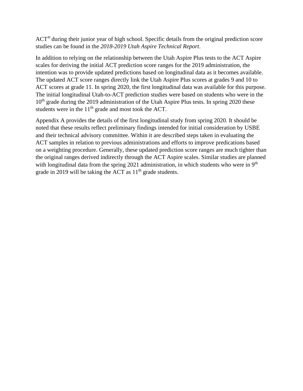ACT® during their junior year of high school. Specific details from the original prediction score studies can be found in the *2018-2019 Utah Aspire Technical Report*.

In addition to relying on the relationship between the Utah Aspire Plus tests to the ACT Aspire scales for deriving the initial ACT prediction score ranges for the 2019 administration, the intention was to provide updated predictions based on longitudinal data as it becomes available. The updated ACT score ranges directly link the Utah Aspire Plus scores at grades 9 and 10 to ACT scores at grade 11. In spring 2020, the first longitudinal data was available for this purpose. The initial longitudinal Utah-to-ACT prediction studies were based on students who were in the 10<sup>th</sup> grade during the 2019 administration of the Utah Aspire Plus tests. In spring 2020 these students were in the  $11<sup>th</sup>$  grade and most took the ACT.

Appendix A provides the details of the first longitudinal study from spring 2020. It should be noted that these results reflect preliminary findings intended for initial consideration by USBE and their technical advisory committee. Within it are described steps taken in evaluating the ACT samples in relation to previous administrations and efforts to improve predications based on a weighting procedure. Generally, these updated prediction score ranges are much tighter than the original ranges derived indirectly through the ACT Aspire scales. Similar studies are planned with longitudinal data from the spring 2021 administration, in which students who were in  $9<sup>th</sup>$ grade in 2019 will be taking the ACT as  $11<sup>th</sup>$  grade students.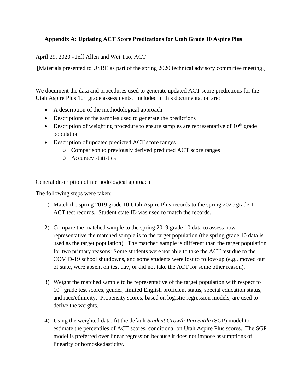## <span id="page-18-0"></span>**Appendix A: Updating ACT Score Predications for Utah Grade 10 Aspire Plus**

April 29, 2020 - Jeff Allen and Wei Tao, ACT

[Materials presented to USBE as part of the spring 2020 technical advisory committee meeting.]

We document the data and procedures used to generate updated ACT score predictions for the Utah Aspire Plus  $10<sup>th</sup>$  grade assessments. Included in this documentation are:

- A description of the methodological approach
- Descriptions of the samples used to generate the predictions
- Description of weighting procedure to ensure samples are representative of  $10<sup>th</sup>$  grade population
- Description of updated predicted ACT score ranges
	- o Comparison to previously derived predicted ACT score ranges
	- o Accuracy statistics

General description of methodological approach

The following steps were taken:

- 1) Match the spring 2019 grade 10 Utah Aspire Plus records to the spring 2020 grade 11 ACT test records. Student state ID was used to match the records.
- 2) Compare the matched sample to the spring 2019 grade 10 data to assess how representative the matched sample is to the target population (the spring grade 10 data is used as the target population). The matched sample is different than the target population for two primary reasons: Some students were not able to take the ACT test due to the COVID-19 school shutdowns, and some students were lost to follow-up (e.g., moved out of state, were absent on test day, or did not take the ACT for some other reason).
- 3) Weight the matched sample to be representative of the target population with respect to 10<sup>th</sup> grade test scores, gender, limited English proficient status, special education status, and race/ethnicity. Propensity scores, based on logistic regression models, are used to derive the weights.
- 4) Using the weighted data, fit the default *Student Growth Percentile* (SGP) model to estimate the percentiles of ACT scores, conditional on Utah Aspire Plus scores. The SGP model is preferred over linear regression because it does not impose assumptions of linearity or homoskedasticity.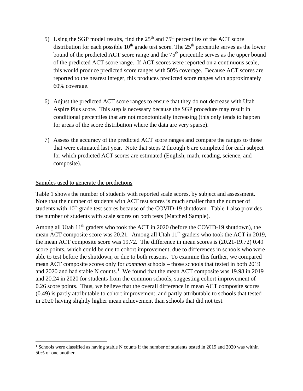- 5) Using the SGP model results, find the  $25<sup>th</sup>$  and  $75<sup>th</sup>$  percentiles of the ACT score distribution for each possible  $10<sup>th</sup>$  grade test score. The  $25<sup>th</sup>$  percentile serves as the lower bound of the predicted ACT score range and the 75<sup>th</sup> percentile serves as the upper bound of the predicted ACT score range. If ACT scores were reported on a continuous scale, this would produce predicted score ranges with 50% coverage. Because ACT scores are reported to the nearest integer, this produces predicted score ranges with approximately 60% coverage.
- 6) Adjust the predicted ACT score ranges to ensure that they do not decrease with Utah Aspire Plus score. This step is necessary because the SGP procedure may result in conditional percentiles that are not monotonically increasing (this only tends to happen for areas of the score distribution where the data are very sparse).
- 7) Assess the accuracy of the predicted ACT score ranges and compare the ranges to those that were estimated last year. Note that steps 2 through 6 are completed for each subject for which predicted ACT scores are estimated (English, math, reading, science, and composite).

#### Samples used to generate the predictions

Table 1 shows the number of students with reported scale scores, by subject and assessment. Note that the number of students with ACT test scores is much smaller than the number of students with  $10<sup>th</sup>$  grade test scores because of the COVID-19 shutdown. Table 1 also provides the number of students with scale scores on both tests (Matched Sample).

Among all Utah  $11<sup>th</sup>$  graders who took the ACT in 2020 (before the COVID-19 shutdown), the mean ACT composite score was 20.21. Among all Utah  $11<sup>th</sup>$  graders who took the ACT in 2019, the mean ACT composite score was 19.72. The difference in mean scores is (20.21-19.72) 0.49 score points, which could be due to cohort improvement, due to differences in schools who were able to test before the shutdown, or due to both reasons. To examine this further, we compared mean ACT composite scores only for *common* schools – those schools that tested in both 2019 and 2020 and had stable N counts.<sup>[1](#page-19-0)</sup> We found that the mean ACT composite was 19.98 in 2019 and 20.24 in 2020 for students from the common schools, suggesting cohort improvement of 0.26 score points. Thus, we believe that the overall difference in mean ACT composite scores (0.49) is partly attributable to cohort improvement, and partly attributable to schools that tested in 2020 having slightly higher mean achievement than schools that did not test.

<span id="page-19-0"></span><sup>&</sup>lt;sup>1</sup> Schools were classified as having stable N counts if the number of students tested in 2019 and 2020 was within 50% of one another.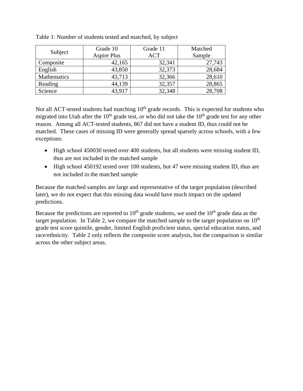|             | Grade 10           | Grade 11   | Matched |
|-------------|--------------------|------------|---------|
| Subject     | <b>Aspire Plus</b> | <b>ACT</b> | Sample  |
| Composite   | 42,165             | 32,341     | 27,743  |
| English     | 43,850             | 32,373     | 28,684  |
| Mathematics | 43,713             | 32,366     | 28,610  |
| Reading     | 44,139             | 32,357     | 28,865  |
| Science     | 43,917             | 32,348     | 28,708  |

Table 1: Number of students tested and matched, by subject

Not all ACT-tested students had matching  $10<sup>th</sup>$  grade records. This is expected for students who migrated into Utah after the  $10<sup>th</sup>$  grade test, or who did not take the  $10<sup>th</sup>$  grade test for any other reason. Among all ACT-tested students, 867 did not have a student ID, thus could not be matched. These cases of missing ID were generally spread sparsely across schools, with a few exceptions:

- High school 450030 tested over 400 students, but all students were missing student ID, thus are not included in the matched sample
- High school 450192 tested over 100 students, but 47 were missing student ID, thus are not included in the matched sample

Because the matched samples are large and representative of the target population (described later), we do not expect that this missing data would have much impact on the updated predictions.

Because the predictions are reported to  $10<sup>th</sup>$  grade students, we used the  $10<sup>th</sup>$  grade data as the target population. In Table 2, we compare the matched sample to the target population on  $10<sup>th</sup>$ grade test score quintile, gender, limited English proficient status, special education status, and race/ethnicity. Table 2 only reflects the composite score analysis, but the comparison is similar across the other subject areas.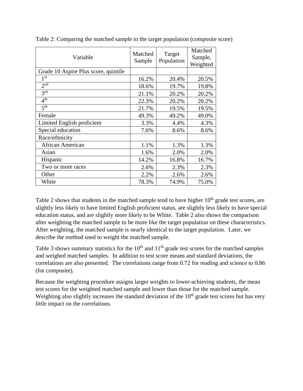| Variable                             | Matched<br>Sample | Target<br>Population | Matched<br>Sample,<br>Weighted |
|--------------------------------------|-------------------|----------------------|--------------------------------|
| Grade 10 Aspire Plus score, quintile |                   |                      |                                |
| 1 <sup>st</sup>                      | 16.2%             | 20.4%                | 20.5%                          |
| $2^{\overline{nd}}$                  | 18.6%             | 19.7%                | 19.8%                          |
| $\overline{3}$ rd                    | 21.1%             | 20.2%                | 20.2%                          |
| 4 <sup>th</sup>                      | 22.3%             | 20.2%                | 20.2%                          |
| 5 <sup>th</sup>                      | 21.7%             | 19.5%                | 19.5%                          |
| Female                               | 49.3%             | 49.2%                | 49.0%                          |
| Limited English proficient           | 3.3%              | 4.4%                 | 4.3%                           |
| Special education                    | 7.6%              | 8.6%                 | 8.6%                           |
| Race/ethnicity                       |                   |                      |                                |
| <b>African American</b>              | 1.1%              | 1.3%                 | 1.3%                           |
| Asian                                | 1.6%              | 2.0%                 | 2.0%                           |
| Hispanic                             | 14.2%             | 16.8%                | 16.7%                          |
| Two or more races                    | 2.6%              | 2.3%                 | 2.3%                           |
| Other                                | 2.2%              | 2.6%                 | 2.6%                           |
| White                                | 78.3%             | 74.9%                | 75.0%                          |

Table 2: Comparing the matched sample to the target population (composite score)

Table 2 shows that students in the matched sample tend to have higher  $10<sup>th</sup>$  grade test scores, are slightly less likely to have limited English proficient status, are slightly less likely to have special education status, and are slightly more likely to be White. Table 2 also shows the comparison after weighting the matched sample to be more like the target population on these characteristics. After weighting, the matched sample is nearly identical to the target population. Later, we describe the method used to weight the matched sample.

Table 3 shows summary statistics for the  $10<sup>th</sup>$  and  $11<sup>th</sup>$  grade test scores for the matched samples and weighed matched samples. In addition to test score means and standard deviations, the correlations are also presented. The correlations range from 0.72 for reading and science to 0.86 (for composite).

Because the weighting procedure assigns larger weights to lower-achieving students, the mean test scores for the weighted matched sample and lower than those for the matched sample. Weighting also slightly increases the standard deviation of the  $10<sup>th</sup>$  grade test scores but has very little impact on the correlations.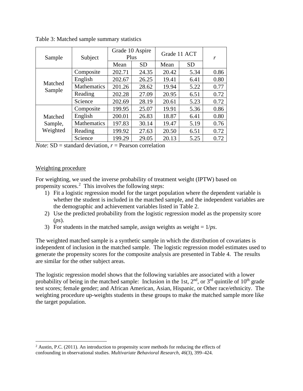| Sample                         | Subject            | Grade 10 Aspire<br>Plus |           | Grade 11 ACT |           | r    |
|--------------------------------|--------------------|-------------------------|-----------|--------------|-----------|------|
|                                |                    | Mean                    | <b>SD</b> | Mean         | <b>SD</b> |      |
| Matched<br>Sample              | Composite          | 202.71                  | 24.35     | 20.42        | 5.34      | 0.86 |
|                                | English            | 202.67                  | 26.25     | 19.41        | 6.41      | 0.80 |
|                                | Mathematics        | 201.26                  | 28.62     | 19.94        | 5.22      | 0.77 |
|                                | Reading            | 202.28                  | 27.09     | 20.95        | 6.51      | 0.72 |
|                                | Science            | 202.69                  | 28.19     | 20.61        | 5.23      | 0.72 |
|                                | Composite          | 199.95                  | 25.07     | 19.91        | 5.36      | 0.86 |
| Matched<br>Sample,<br>Weighted | English            | 200.01                  | 26.83     | 18.87        | 6.41      | 0.80 |
|                                | <b>Mathematics</b> | 197.83                  | 30.14     | 19.47        | 5.19      | 0.76 |
|                                | Reading            | 199.92                  | 27.63     | 20.50        | 6.51      | 0.72 |
|                                | Science            | 199.29                  | 29.05     | 20.13        | 5.25      | 0.72 |

Table 3: Matched sample summary statistics

*Note*: SD = standard deviation, *r* = Pearson correlation

#### Weighting procedure

For weighting, we used the inverse probability of treatment weight (IPTW) based on propensity scores. $2$  This involves the following steps:

- 1) Fit a logistic regression model for the target population where the dependent variable is whether the student is included in the matched sample, and the independent variables are the demographic and achievement variables listed in Table 2.
- 2) Use the predicted probability from the logistic regression model as the propensity score (*ps*).
- 3) For students in the matched sample, assign weights as weight  $= 1/ps$ .

The weighted matched sample is a synthetic sample in which the distribution of covariates is independent of inclusion in the matched sample. The logistic regression model estimates used to generate the propensity scores for the composite analysis are presented in Table 4. The results are similar for the other subject areas.

The logistic regression model shows that the following variables are associated with a lower probability of being in the matched sample: Inclusion in the 1st,  $2<sup>nd</sup>$ , or  $3<sup>rd</sup>$  quintile of  $10<sup>th</sup>$  grade test scores; female gender; and African American, Asian, Hispanic, or Other race/ethnicity. The weighting procedure up-weights students in these groups to make the matched sample more like the target population.

<span id="page-22-0"></span> $2$  Austin, P.C. (2011). An introduction to propensity score methods for reducing the effects of confounding in observational studies. *Multivariate Behavioral Research, 46*(3), 399–424.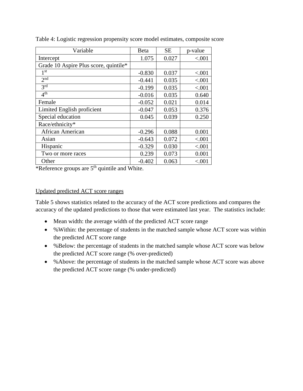| Variable                              | Beta     | <b>SE</b> | p-value |
|---------------------------------------|----------|-----------|---------|
| Intercept                             | 1.075    | 0.027     | < .001  |
| Grade 10 Aspire Plus score, quintile* |          |           |         |
| 1 <sup>st</sup>                       | $-0.830$ | 0.037     | < .001  |
| 2 <sub>nd</sub>                       | $-0.441$ | 0.035     | < .001  |
| $3^{\overline{\text{rd}}}$            | $-0.199$ | 0.035     | < .001  |
| 4 <sup>th</sup>                       | $-0.016$ | 0.035     | 0.640   |
| Female                                | $-0.052$ | 0.021     | 0.014   |
| Limited English proficient            | $-0.047$ | 0.053     | 0.376   |
| Special education                     | 0.045    | 0.039     | 0.250   |
| Race/ethnicity*                       |          |           |         |
| <b>African American</b>               | $-0.296$ | 0.088     | 0.001   |
| Asian                                 | $-0.643$ | 0.072     | < .001  |
| Hispanic                              | $-0.329$ | 0.030     | < .001  |
| Two or more races                     | 0.239    | 0.073     | 0.001   |
| Other                                 | $-0.402$ | 0.063     | < .001  |

Table 4: Logistic regression propensity score model estimates, composite score

\*Reference groups are 5<sup>th</sup> quintile and White.

#### Updated predicted ACT score ranges

Table 5 shows statistics related to the accuracy of the ACT score predictions and compares the accuracy of the updated predictions to those that were estimated last year. The statistics include:

- Mean width: the average width of the predicted ACT score range
- % Within: the percentage of students in the matched sample whose ACT score was within the predicted ACT score range
- %Below: the percentage of students in the matched sample whose ACT score was below the predicted ACT score range (% over-predicted)
- %Above: the percentage of students in the matched sample whose ACT score was above the predicted ACT score range (% under-predicted)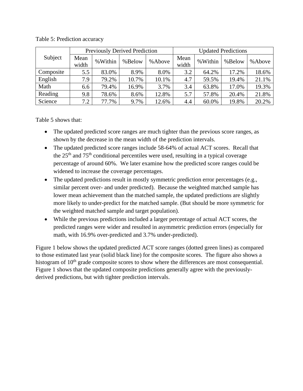| <b>Previously Derived Prediction</b> |               |         | <b>Updated Predictions</b> |        |               |         |        |        |
|--------------------------------------|---------------|---------|----------------------------|--------|---------------|---------|--------|--------|
| Subject                              | Mean<br>width | %Within | %Below                     | %Above | Mean<br>width | %Within | %Below | %Above |
| Composite                            | 5.5           | 83.0%   | 8.9%                       | 8.0%   | 3.2           | 64.2%   | 17.2%  | 18.6%  |
| English                              | 7.9           | 79.2%   | 10.7%                      | 10.1%  | 4.7           | 59.5%   | 19.4%  | 21.1%  |
| Math                                 | 6.6           | 79.4%   | 16.9%                      | 3.7%   | 3.4           | 63.8%   | 17.0%  | 19.3%  |
| Reading                              | 9.8           | 78.6%   | 8.6%                       | 12.8%  | 5.7           | 57.8%   | 20.4%  | 21.8%  |
| Science                              | 7.2           | 77.7%   | 9.7%                       | 12.6%  | 4.4           | 60.0%   | 19.8%  | 20.2%  |

Table 5: Prediction accuracy

Table 5 shows that:

- The updated predicted score ranges are much tighter than the previous score ranges, as shown by the decrease in the mean width of the prediction intervals.
- The updated predicted score ranges include 58-64% of actual ACT scores. Recall that the  $25<sup>th</sup>$  and  $75<sup>th</sup>$  conditional percentiles were used, resulting in a typical coverage percentage of around 60%. We later examine how the predicted score ranges could be widened to increase the coverage percentages.
- The updated predictions result in mostly symmetric prediction error percentages (e.g., similar percent over- and under predicted). Because the weighted matched sample has lower mean achievement than the matched sample, the updated predictions are slightly more likely to under-predict for the matched sample. (But should be more symmetric for the weighted matched sample and target population).
- While the previous predictions included a larger percentage of actual ACT scores, the predicted ranges were wider and resulted in asymmetric prediction errors (especially for math, with 16.9% over-predicted and 3.7% under-predicted).

Figure 1 below shows the updated predicted ACT score ranges (dotted green lines) as compared to those estimated last year (solid black line) for the composite scores. The figure also shows a histogram of  $10<sup>th</sup>$  grade composite scores to show where the differences are most consequential. Figure 1 shows that the updated composite predictions generally agree with the previouslyderived predictions, but with tighter prediction intervals.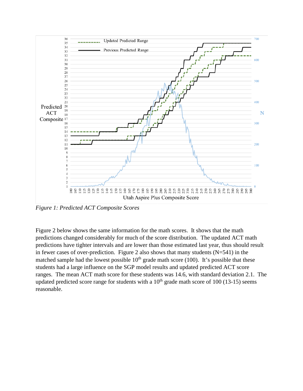

*Figure 1: Predicted ACT Composite Scores* 

Figure 2 below shows the same information for the math scores. It shows that the math predictions changed considerably for much of the score distribution. The updated ACT math predictions have tighter intervals and are lower than those estimated last year, thus should result in fewer cases of over-prediction. Figure 2 also shows that many students  $(N=541)$  in the matched sample had the lowest possible  $10<sup>th</sup>$  grade math score (100). It's possible that these students had a large influence on the SGP model results and updated predicted ACT score ranges. The mean ACT math score for these students was 14.6, with standard deviation 2.1. The updated predicted score range for students with a  $10<sup>th</sup>$  grade math score of  $100$  (13-15) seems reasonable.